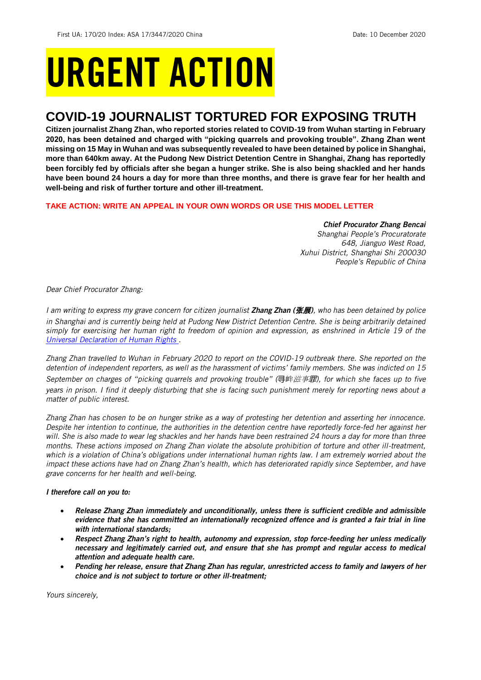# URGENT ACTION

# **COVID-19 JOURNALIST TORTURED FOR EXPOSING TRUTH**

**Citizen journalist Zhang Zhan, who reported stories related to COVID-19 from Wuhan starting in February 2020, has been detained and charged with "picking quarrels and provoking trouble". Zhang Zhan went missing on 15 May in Wuhan and was subsequently revealed to have been detained by police in Shanghai, more than 640km away. At the Pudong New District Detention Centre in Shanghai, Zhang has reportedly been forcibly fed by officials after she began a hunger strike. She is also being shackled and her hands have been bound 24 hours a day for more than three months, and there is grave fear for her health and well-being and risk of further torture and other ill-treatment.** 

# **TAKE ACTION: WRITE AN APPEAL IN YOUR OWN WORDS OR USE THIS MODEL LETTER**

## *Chief Procurator Zhang Bencai*

*Shanghai People's Procuratorate 648, Jianguo West Road, Xuhui District, Shanghai Shi 200030 People's Republic of China*

*Dear Chief Procurator Zhang:* 

*I am writing to express my grave concern for citizen journalist Zhang Zhan (*张展*), who has been detained by police*  in Shanghai and is currently being held at Pudong New District Detention Centre. She is being arbitrarily detained *simply for exercising her human right to freedom of opinion and expression, as enshrined in Article 19 of the [Universal Declaration of Human Rights .](https://www.un.org/en/universal-declaration-human-rights/)* 

*Zhang Zhan travelled to Wuhan in February 2020 to report on the COVID-19 outbreak there. She reported on the detention of independent reporters, as well as the harassment of victims' family members. She was indicted on 15 September on charges of "picking quarrels and provoking trouble" (*寻衅滋事罪*), for which she faces up to five years in prison. I find it deeply disturbing that she is facing such punishment merely for reporting news about a matter of public interest.* 

*Zhang Zhan has chosen to be on hunger strike as a way of protesting her detention and asserting her innocence. Despite her intention to continue, the authorities in the detention centre have reportedly force-fed her against her* will. She is also made to wear leg shackles and her hands have been restrained 24 hours a day for more than three *months. These actions imposed on Zhang Zhan violate the absolute prohibition of torture and other ill-treatment, which is a violation of China's obligations under international human rights law. I am extremely worried about the impact these actions have had on Zhang Zhan's health, which has deteriorated rapidly since September, and have grave concerns for her health and well-being.*

# *I therefore call on you to:*

- *Release Zhang Zhan immediately and unconditionally, unless there is sufficient credible and admissible evidence that she has committed an internationally recognized offence and is granted a fair trial in line with international standards;*
- *Respect Zhang Zhan's right to health, autonomy and expression, stop force-feeding her unless medically necessary and legitimately carried out, and ensure that she has prompt and regular access to medical attention and adequate health care.*
- *Pending her release, ensure that Zhang Zhan has regular, unrestricted access to family and lawyers of her choice and is not subject to torture or other ill-treatment;*

*Yours sincerely,*